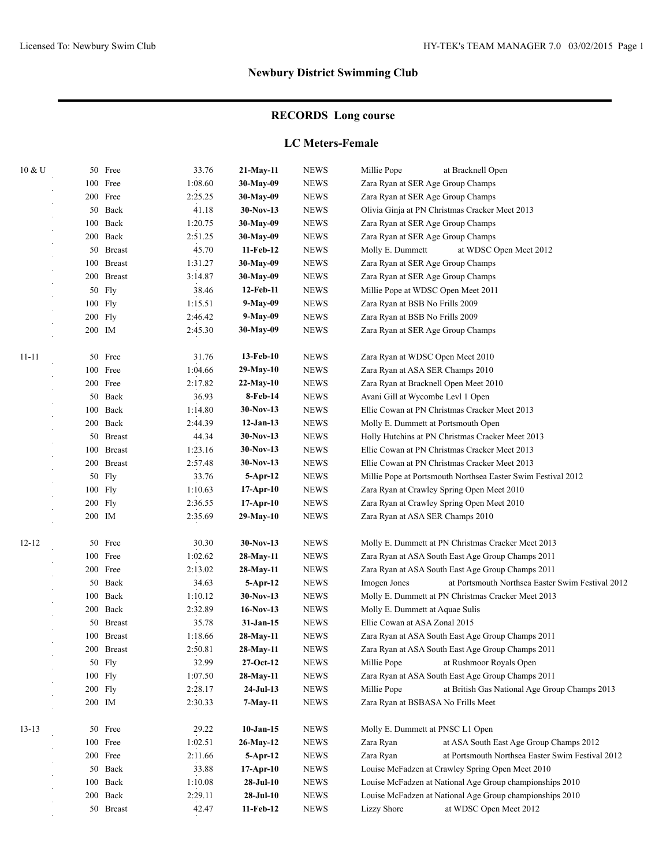# **RECORDS Long course**

#### **LC Meters-Female**

| $10 \& U$ |        | 50 Free                         | 33.76   | 21-May-11   | <b>NEWS</b>                       | Millie Pope<br>at Bracknell Open                                 |  |  |
|-----------|--------|---------------------------------|---------|-------------|-----------------------------------|------------------------------------------------------------------|--|--|
|           |        | 100 Free                        | 1:08.60 | 30-May-09   | <b>NEWS</b>                       | Zara Ryan at SER Age Group Champs                                |  |  |
|           |        | 200 Free                        | 2:25.25 | 30-May-09   | <b>NEWS</b>                       | Zara Ryan at SER Age Group Champs                                |  |  |
|           |        | 50 Back                         | 41.18   | 30-Nov-13   | <b>NEWS</b>                       | Olivia Ginja at PN Christmas Cracker Meet 2013                   |  |  |
|           |        | 100 Back                        | 1:20.75 | 30-May-09   | <b>NEWS</b>                       | Zara Ryan at SER Age Group Champs                                |  |  |
|           |        | 200 Back                        | 2:51.25 | 30-May-09   | <b>NEWS</b>                       | Zara Ryan at SER Age Group Champs                                |  |  |
|           |        | 50 Breast                       | 45.70   | 11-Feb-12   | <b>NEWS</b>                       | Molly E. Dummett<br>at WDSC Open Meet 2012                       |  |  |
|           | 100    | <b>Breast</b>                   | 1:31.27 | 30-May-09   | <b>NEWS</b>                       | Zara Ryan at SER Age Group Champs                                |  |  |
|           | 200    | <b>Breast</b>                   | 3:14.87 | 30-May-09   | <b>NEWS</b>                       | Zara Ryan at SER Age Group Champs                                |  |  |
|           | 50     | Fly                             | 38.46   | 12-Feb-11   | <b>NEWS</b>                       | Millie Pope at WDSC Open Meet 2011                               |  |  |
|           |        | $100$ Fly                       | 1:15.51 | 9-May-09    | <b>NEWS</b>                       | Zara Ryan at BSB No Frills 2009                                  |  |  |
|           |        | 200 Fly                         | 2:46.42 | 9-May-09    | <b>NEWS</b>                       | Zara Ryan at BSB No Frills 2009                                  |  |  |
|           | 200 IM |                                 | 2:45.30 | 30-May-09   | <b>NEWS</b>                       | Zara Ryan at SER Age Group Champs                                |  |  |
| $11 - 11$ |        | 50 Free                         | 31.76   | 13-Feb-10   | <b>NEWS</b>                       | Zara Ryan at WDSC Open Meet 2010                                 |  |  |
|           |        | 100 Free                        | 1:04.66 | 29-May-10   | <b>NEWS</b>                       | Zara Ryan at ASA SER Champs 2010                                 |  |  |
|           |        | 200 Free                        | 2:17.82 | $22-May-10$ | <b>NEWS</b>                       | Zara Ryan at Bracknell Open Meet 2010                            |  |  |
|           |        | 50<br>Back<br>36.93<br>8-Feb-14 |         | <b>NEWS</b> | Avani Gill at Wycombe Levl 1 Open |                                                                  |  |  |
|           | 100    | Back                            | 1:14.80 | $30-Nov-13$ | <b>NEWS</b>                       | Ellie Cowan at PN Christmas Cracker Meet 2013                    |  |  |
|           |        | 200 Back                        | 2:44.39 | $12-Jan-13$ | <b>NEWS</b>                       | Molly E. Dummett at Portsmouth Open                              |  |  |
|           |        | 50 Breast                       | 44.34   | $30-Nov-13$ | <b>NEWS</b>                       | Holly Hutchins at PN Christmas Cracker Meet 2013                 |  |  |
|           |        | 100 Breast                      | 1:23.16 | $30-Nov-13$ | <b>NEWS</b>                       | Ellie Cowan at PN Christmas Cracker Meet 2013                    |  |  |
|           |        | 200 Breast                      | 2:57.48 | 30-Nov-13   | <b>NEWS</b>                       | Ellie Cowan at PN Christmas Cracker Meet 2013                    |  |  |
|           | 50     | Fly                             | 33.76   | $5-Apr-12$  | <b>NEWS</b>                       | Millie Pope at Portsmouth Northsea Easter Swim Festival 2012     |  |  |
|           |        | 100 Fly                         | 1:10.63 | $17-Apr-10$ | <b>NEWS</b>                       | Zara Ryan at Crawley Spring Open Meet 2010                       |  |  |
|           |        | 200 Fly                         | 2:36.55 | $17-Apr-10$ | <b>NEWS</b>                       | Zara Ryan at Crawley Spring Open Meet 2010                       |  |  |
|           | 200 IM |                                 | 2:35.69 | 29-May-10   | <b>NEWS</b>                       | Zara Ryan at ASA SER Champs 2010                                 |  |  |
| $12 - 12$ |        | 50 Free                         | 30.30   | $30-Nov-13$ | <b>NEWS</b>                       | Molly E. Dummett at PN Christmas Cracker Meet 2013               |  |  |
|           |        | 100 Free                        | 1:02.62 | 28-May-11   | <b>NEWS</b>                       | Zara Ryan at ASA South East Age Group Champs 2011                |  |  |
|           |        | 200 Free                        | 2:13.02 | 28-May-11   | <b>NEWS</b>                       | Zara Ryan at ASA South East Age Group Champs 2011                |  |  |
|           |        | 50 Back                         | 34.63   | $5-Apr-12$  | <b>NEWS</b>                       | Imogen Jones<br>at Portsmouth Northsea Easter Swim Festival 2012 |  |  |
|           |        | 100 Back                        | 1:10.12 | $30-Nov-13$ | <b>NEWS</b>                       | Molly E. Dummett at PN Christmas Cracker Meet 2013               |  |  |
|           |        | 200 Back                        | 2:32.89 | $16-Nov-13$ | <b>NEWS</b>                       | Molly E. Dummett at Aquae Sulis                                  |  |  |
|           |        | 50 Breast                       | 35.78   | $31-Jan-15$ | <b>NEWS</b>                       | Ellie Cowan at ASA Zonal 2015                                    |  |  |
|           | 100    | <b>Breast</b>                   | 1:18.66 | 28-May-11   | <b>NEWS</b>                       | Zara Ryan at ASA South East Age Group Champs 2011                |  |  |
|           |        | 200 Breast                      | 2:50.81 | 28-May-11   | <b>NEWS</b>                       | Zara Ryan at ASA South East Age Group Champs 2011                |  |  |
|           |        | 50 Fly                          | 32.99   | 27-Oct-12   | <b>NEWS</b>                       | Millie Pope<br>at Rushmoor Royals Open                           |  |  |
|           |        | 100 Fly                         | 1:07.50 | 28-May-11   | <b>NEWS</b>                       | Zara Ryan at ASA South East Age Group Champs 2011                |  |  |
|           |        | $200$ Fly                       | 2:28.17 | $24-Jul-13$ | <b>NEWS</b>                       | Millie Pope<br>at British Gas National Age Group Champs 2013     |  |  |
|           |        | 200 IM                          | 2:30.33 | 7-May-11    | <b>NEWS</b>                       | Zara Ryan at BSBASA No Frills Meet                               |  |  |
| $13 - 13$ |        | 50 Free                         | 29.22   | $10-Jan-15$ | <b>NEWS</b>                       | Molly E. Dummett at PNSC L1 Open                                 |  |  |
|           |        | 100 Free                        | 1:02.51 | 26-May-12   | <b>NEWS</b>                       | Zara Ryan<br>at ASA South East Age Group Champs 2012             |  |  |
|           |        | 200 Free                        | 2:11.66 | 5-Apr-12    | <b>NEWS</b>                       | at Portsmouth Northsea Easter Swim Festival 2012<br>Zara Ryan    |  |  |
|           |        | 50 Back                         | 33.88   | $17-Apr-10$ | ${\rm NEWS}$                      | Louise McFadzen at Crawley Spring Open Meet 2010                 |  |  |
|           |        | 100 Back                        | 1:10.08 | $28-Jul-10$ | <b>NEWS</b>                       | Louise McFadzen at National Age Group championships 2010         |  |  |
|           |        | 200 Back                        | 2:29.11 | $28-Jul-10$ | <b>NEWS</b>                       | Louise McFadzen at National Age Group championships 2010         |  |  |
|           |        | 50 Breast                       | 42.47   | 11-Feb-12   | ${\rm NEWS}$                      | at WDSC Open Meet 2012<br><b>Lizzy Shore</b>                     |  |  |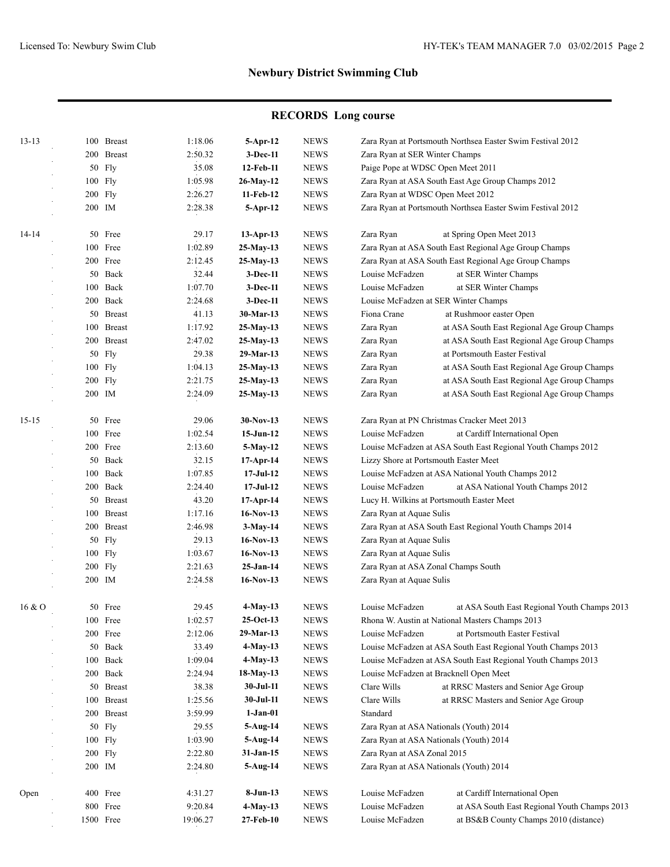# **RECORDS Long course**

| $13 - 13$ |     | 100 Breast        | 1:18.06            | 5-Apr-12                     | <b>NEWS</b>                |                                                                 | Zara Ryan at Portsmouth Northsea Easter Swim Festival 2012   |
|-----------|-----|-------------------|--------------------|------------------------------|----------------------------|-----------------------------------------------------------------|--------------------------------------------------------------|
|           |     | 200 Breast        | 2:50.32            | 3-Dec-11                     | <b>NEWS</b>                | Zara Ryan at SER Winter Champs                                  |                                                              |
|           |     | 50 Fly            | 35.08              | 12-Feb-11                    | <b>NEWS</b>                | Paige Pope at WDSC Open Meet 2011                               |                                                              |
|           |     | 100 Fly           | 1:05.98            | 26-May-12                    | <b>NEWS</b>                |                                                                 | Zara Ryan at ASA South East Age Group Champs 2012            |
|           |     | 200 Fly           | 2:26.27            | 11-Feb-12                    | <b>NEWS</b>                | Zara Ryan at WDSC Open Meet 2012                                |                                                              |
|           |     | 200 IM            | 2:28.38            | $5-Apr-12$                   | <b>NEWS</b>                |                                                                 | Zara Ryan at Portsmouth Northsea Easter Swim Festival 2012   |
| 14-14     |     | 50 Free           | 29.17              | $13-Apr-13$                  | <b>NEWS</b>                | Zara Ryan                                                       | at Spring Open Meet 2013                                     |
|           |     | 100 Free          | 1:02.89            | 25-May-13                    | <b>NEWS</b>                |                                                                 | Zara Ryan at ASA South East Regional Age Group Champs        |
|           |     | 200 Free          | 2:12.45            | 25-May-13                    | <b>NEWS</b>                |                                                                 | Zara Ryan at ASA South East Regional Age Group Champs        |
|           |     | 50 Back           | 32.44              | 3-Dec-11                     | <b>NEWS</b>                | Louise McFadzen                                                 | at SER Winter Champs                                         |
|           | 100 | Back              | 1:07.70            | 3-Dec-11                     | <b>NEWS</b>                | Louise McFadzen                                                 | at SER Winter Champs                                         |
|           |     | 200 Back          | 2:24.68            | $3-Dec-11$                   | <b>NEWS</b>                | Louise McFadzen at SER Winter Champs                            |                                                              |
|           |     | 50 Breast         | 41.13              | 30-Mar-13                    | <b>NEWS</b>                | Fiona Crane                                                     | at Rushmoor easter Open                                      |
|           |     | 100 Breast        | 1:17.92            | 25-May-13                    | <b>NEWS</b>                | Zara Ryan                                                       | at ASA South East Regional Age Group Champs                  |
|           |     | 200 Breast        | 2:47.02            | 25-May-13                    | <b>NEWS</b>                | Zara Ryan                                                       | at ASA South East Regional Age Group Champs                  |
|           | 50  | Fly               | 29.38              | 29-Mar-13                    | <b>NEWS</b>                | Zara Ryan                                                       | at Portsmouth Easter Festival                                |
|           |     | 100 Fly           | 1:04.13            | 25-May-13                    | <b>NEWS</b>                | Zara Ryan                                                       | at ASA South East Regional Age Group Champs                  |
|           |     | 200 Fly           | 2:21.75            | 25-May-13                    | <b>NEWS</b>                | Zara Ryan                                                       | at ASA South East Regional Age Group Champs                  |
|           |     | 200 IM            | 2:24.09            | $25-May-13$                  | <b>NEWS</b>                | Zara Ryan                                                       | at ASA South East Regional Age Group Champs                  |
| $15 - 15$ | 50  | Free              | 29.06              | 30-Nov-13                    | <b>NEWS</b>                |                                                                 | Zara Ryan at PN Christmas Cracker Meet 2013                  |
|           |     | 100 Free          | 1:02.54            | $15-Jun-12$                  | <b>NEWS</b>                | Louise McFadzen                                                 | at Cardiff International Open                                |
|           |     | 200 Free          | 2:13.60            | 5-May-12                     | <b>NEWS</b>                |                                                                 | Louise McFadzen at ASA South East Regional Youth Champs 2012 |
|           |     | 50 Back           | 32.15              | $17-Apr-14$                  | <b>NEWS</b>                | Lizzy Shore at Portsmouth Easter Meet                           |                                                              |
|           | 100 | Back              | 1:07.85            | $17-Jul-12$                  | <b>NEWS</b>                |                                                                 | Louise McFadzen at ASA National Youth Champs 2012            |
|           |     | 200 Back          | 2:24.40            | $17-Jul-12$                  | <b>NEWS</b>                | Louise McFadzen                                                 | at ASA National Youth Champs 2012                            |
|           |     | 50 Breast         | 43.20              | $17-Apr-14$                  | <b>NEWS</b>                |                                                                 | Lucy H. Wilkins at Portsmouth Easter Meet                    |
|           |     | 100 Breast        | 1:17.16            | $16-Nov-13$                  | <b>NEWS</b>                | Zara Ryan at Aquae Sulis                                        |                                                              |
|           |     | 200 Breast        | 2:46.98            | $3-May-14$                   | <b>NEWS</b>                |                                                                 | Zara Ryan at ASA South East Regional Youth Champs 2014       |
|           |     | 50 Fly            | 29.13              | $16-Nov-13$                  | <b>NEWS</b>                | Zara Ryan at Aquae Sulis                                        |                                                              |
|           |     |                   |                    |                              |                            |                                                                 |                                                              |
|           |     | 100 Fly           | 1:03.67            | $16-Nov-13$                  | <b>NEWS</b>                | Zara Ryan at Aquae Sulis                                        |                                                              |
|           |     | 200 Fly<br>200 IM | 2:21.63<br>2:24.58 | $25 - Jan-14$<br>$16-Nov-13$ | <b>NEWS</b><br><b>NEWS</b> | Zara Ryan at ASA Zonal Champs South<br>Zara Ryan at Aquae Sulis |                                                              |
| 16 & 0    | 50  | Free              | 29.45              | $4-May-13$                   | <b>NEWS</b>                | Louise McFadzen                                                 | at ASA South East Regional Youth Champs 2013                 |
|           |     |                   |                    |                              |                            |                                                                 | Rhona W. Austin at National Masters Champs 2013              |
|           |     | 100 Free          | 1:02.57            | 25-Oct-13                    | <b>NEWS</b>                |                                                                 |                                                              |
|           |     | 200 Free          | 2:12.06            | 29-Mar-13                    | <b>NEWS</b>                | Louise McFadzen                                                 | at Portsmouth Easter Festival                                |
|           |     | 50 Back           | 33.49              | 4-May-13                     | <b>NEWS</b>                |                                                                 | Louise McFadzen at ASA South East Regional Youth Champs 2013 |
|           |     | 100 Back          | 1:09.04            | $4$ -May-13                  | <b>NEWS</b>                |                                                                 | Louise McFadzen at ASA South East Regional Youth Champs 2013 |
|           |     | 200 Back          | 2:24.94            | 18-May-13                    | <b>NEWS</b>                |                                                                 | Louise McFadzen at Bracknell Open Meet                       |
|           |     | 50 Breast         | 38.38              | 30-Jul-11                    | <b>NEWS</b>                | Clare Wills                                                     | at RRSC Masters and Senior Age Group                         |
|           |     | 100 Breast        | 1:25.56            | 30-Jul-11                    | <b>NEWS</b>                | Clare Wills                                                     | at RRSC Masters and Senior Age Group                         |
|           |     | 200 Breast        | 3:59.99            | $1-Jan-01$                   |                            | Standard                                                        |                                                              |
|           |     | 50 Fly            | 29.55              | 5-Aug-14                     | <b>NEWS</b>                |                                                                 | Zara Ryan at ASA Nationals (Youth) 2014                      |
|           |     | 100 Fly           | 1:03.90            | 5-Aug-14                     | <b>NEWS</b>                | Zara Ryan at ASA Nationals (Youth) 2014                         |                                                              |
|           |     | 200 Fly           | 2:22.80            | 31-Jan-15                    | <b>NEWS</b>                | Zara Ryan at ASA Zonal 2015                                     |                                                              |
|           |     | 200 IM            | 2:24.80            | 5-Aug-14                     | <b>NEWS</b>                | Zara Ryan at ASA Nationals (Youth) 2014                         |                                                              |
| Open      |     | 400 Free          | 4:31.27            | $8-Jun-13$                   | <b>NEWS</b>                | Louise McFadzen                                                 | at Cardiff International Open                                |
|           |     | 800 Free          | 9:20.84            | 4-May-13                     | <b>NEWS</b>                | Louise McFadzen                                                 | at ASA South East Regional Youth Champs 2013                 |
|           |     | 1500 Free         | 19:06.27           | 27-Feb-10                    | <b>NEWS</b>                | Louise McFadzen                                                 | at BS&B County Champs 2010 (distance)                        |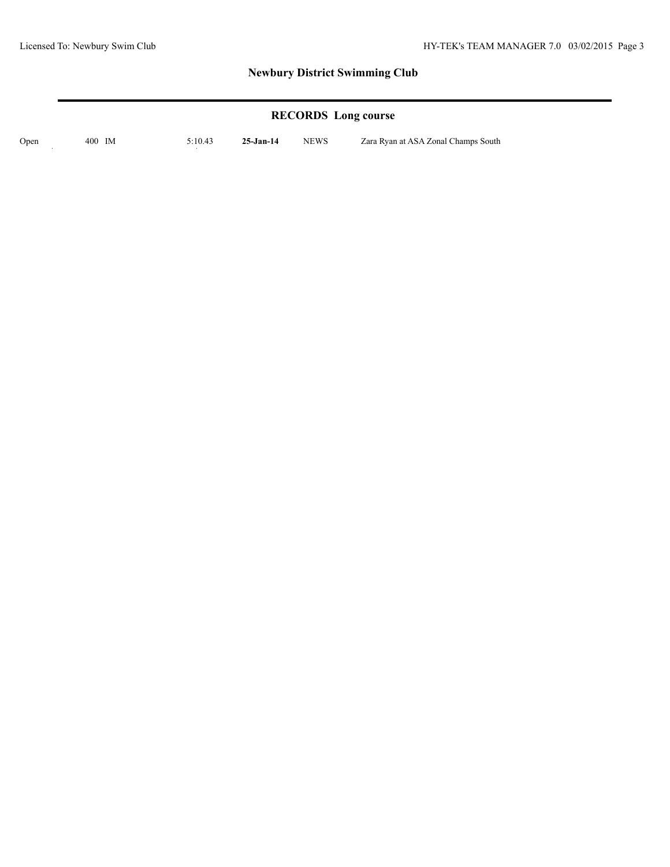# **RECORDS Long course**

Open 400 IM 5:10.43 **25-Jan-14** NEWS Zara Ryan at ASA Zonal Champs South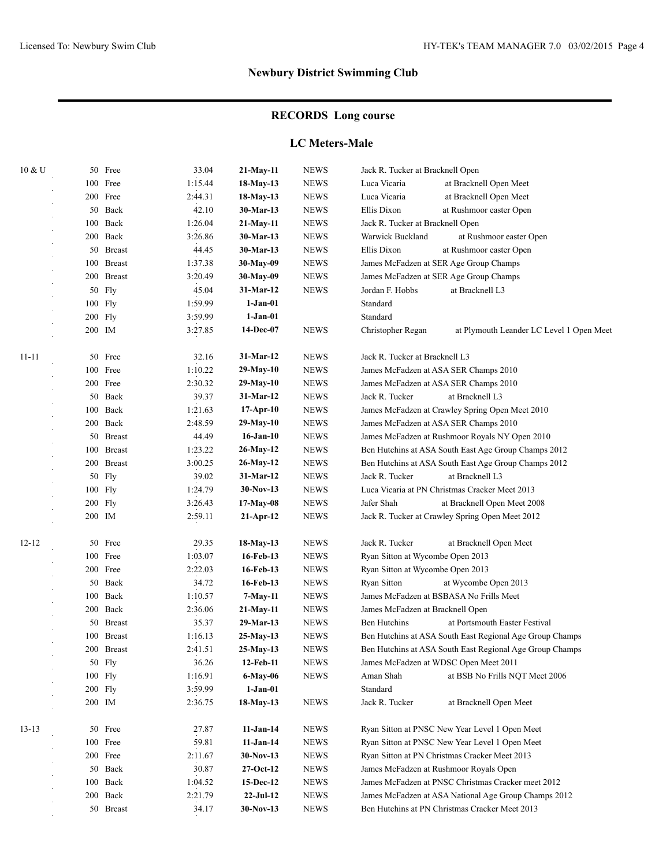# **RECORDS Long course**

#### **LC Meters-Male**

| 10 & U    |         | 50 Free       | 33.04   | $21-May-11$     | <b>NEWS</b>  | Jack R. Tucker at Bracknell Open      |                                                          |  |
|-----------|---------|---------------|---------|-----------------|--------------|---------------------------------------|----------------------------------------------------------|--|
|           | 100     | Free          | 1:15.44 | 18-May-13       | <b>NEWS</b>  | Luca Vicaria                          | at Bracknell Open Meet                                   |  |
|           | 200     | Free          | 2:44.31 | 18-May-13       | <b>NEWS</b>  | Luca Vicaria                          | at Bracknell Open Meet                                   |  |
|           |         | 50 Back       | 42.10   | 30-Mar-13       | <b>NEWS</b>  | Ellis Dixon                           | at Rushmoor easter Open                                  |  |
|           | 100     | Back          | 1:26.04 | 21-May-11       | <b>NEWS</b>  | Jack R. Tucker at Bracknell Open      |                                                          |  |
|           | 200     | Back          | 3:26.86 | 30-Mar-13       | <b>NEWS</b>  | Warwick Buckland                      | at Rushmoor easter Open                                  |  |
|           |         | 50 Breast     | 44.45   | 30-Mar-13       | <b>NEWS</b>  | Ellis Dixon                           | at Rushmoor easter Open                                  |  |
|           | 100     | <b>Breast</b> | 1:37.38 | 30-May-09       | <b>NEWS</b>  |                                       | James McFadzen at SER Age Group Champs                   |  |
|           | 200     | <b>Breast</b> | 3:20.49 | 30-May-09       | <b>NEWS</b>  |                                       | James McFadzen at SER Age Group Champs                   |  |
|           | 50      | Fly           | 45.04   | 31-Mar-12       | <b>NEWS</b>  | Jordan F. Hobbs                       | at Bracknell L3                                          |  |
|           | 100     | Fly           | 1:59.99 | $1-Jan-01$      |              | Standard                              |                                                          |  |
|           | 200 Fly |               | 3:59.99 | $1-Jan-01$      |              | Standard                              |                                                          |  |
|           | 200 IM  |               | 3:27.85 | 14-Dec-07       | <b>NEWS</b>  | Christopher Regan                     | at Plymouth Leander LC Level 1 Open Meet                 |  |
| $11 - 11$ | 50      | Free          | 32.16   | 31-Mar-12       | <b>NEWS</b>  | Jack R. Tucker at Bracknell L3        |                                                          |  |
|           | 100     | Free          | 1:10.22 | 29-May-10       | <b>NEWS</b>  | James McFadzen at ASA SER Champs 2010 |                                                          |  |
|           | 200     | Free          | 2:30.32 | 29-May-10       | <b>NEWS</b>  |                                       | James McFadzen at ASA SER Champs 2010                    |  |
|           | 50      | Back          | 39.37   | 31-Mar-12       | <b>NEWS</b>  | Jack R. Tucker                        | at Bracknell L3                                          |  |
|           | 100     | Back          | 1:21.63 | $17-Apr-10$     | <b>NEWS</b>  |                                       | James McFadzen at Crawley Spring Open Meet 2010          |  |
|           | 200     | Back          | 2:48.59 | 29-May-10       | <b>NEWS</b>  |                                       | James McFadzen at ASA SER Champs 2010                    |  |
|           | 50      | <b>Breast</b> | 44.49   | $16$ -Jan- $10$ | <b>NEWS</b>  |                                       | James McFadzen at Rushmoor Royals NY Open 2010           |  |
|           |         | 100 Breast    | 1:23.22 | 26-May-12       | <b>NEWS</b>  |                                       | Ben Hutchins at ASA South East Age Group Champs 2012     |  |
|           |         | 200 Breast    | 3:00.25 | 26-May-12       | <b>NEWS</b>  |                                       | Ben Hutchins at ASA South East Age Group Champs 2012     |  |
|           |         | 50 Fly        | 39.02   | 31-Mar-12       | <b>NEWS</b>  | Jack R. Tucker                        | at Bracknell L3                                          |  |
|           |         | 100 Fly       | 1:24.79 | $30-Nov-13$     | <b>NEWS</b>  |                                       | Luca Vicaria at PN Christmas Cracker Meet 2013           |  |
|           |         | 200 Fly       | 3:26.43 | 17-May-08       | <b>NEWS</b>  | Jafer Shah                            | at Bracknell Open Meet 2008                              |  |
|           |         | 200 IM        | 2:59.11 | $21-Apr-12$     | <b>NEWS</b>  |                                       | Jack R. Tucker at Crawley Spring Open Meet 2012          |  |
| $12 - 12$ |         | 50 Free       | 29.35   | 18-May-13       | <b>NEWS</b>  | Jack R. Tucker                        | at Bracknell Open Meet                                   |  |
|           | 100     | Free          | 1:03.07 | 16-Feb-13       | <b>NEWS</b>  | Ryan Sitton at Wycombe Open 2013      |                                                          |  |
|           |         | 200 Free      | 2:22.03 | 16-Feb-13       | <b>NEWS</b>  | Ryan Sitton at Wycombe Open 2013      |                                                          |  |
|           | 50      | Back          | 34.72   | 16-Feb-13       | <b>NEWS</b>  | Ryan Sitton                           | at Wycombe Open 2013                                     |  |
|           | 100     | Back          | 1:10.57 | $7-May-11$      | <b>NEWS</b>  |                                       | James McFadzen at BSBASA No Frills Meet                  |  |
|           | 200     | Back          | 2:36.06 | 21-May-11       | <b>NEWS</b>  | James McFadzen at Bracknell Open      |                                                          |  |
|           | 50      | <b>Breast</b> | 35.37   | 29-Mar-13       | <b>NEWS</b>  | Ben Hutchins                          | at Portsmouth Easter Festival                            |  |
|           | 100     | <b>Breast</b> | 1:16.13 | $25-May-13$     | <b>NEWS</b>  |                                       | Ben Hutchins at ASA South East Regional Age Group Champs |  |
|           |         | 200 Breast    | 2:41.51 | $25-May-13$     | <b>NEWS</b>  |                                       | Ben Hutchins at ASA South East Regional Age Group Champs |  |
|           |         | 50 Fly        | 36.26   | 12-Feb-11       | <b>NEWS</b>  |                                       | James McFadzen at WDSC Open Meet 2011                    |  |
|           |         | 100 Fly       | 1:16.91 | 6-May-06        | <b>NEWS</b>  | Aman Shah                             | at BSB No Frills NQT Meet 2006                           |  |
|           |         | 200 Fly       | 3:59.99 | $1-Jan-01$      |              | Standard                              |                                                          |  |
|           |         | 200 IM        | 2:36.75 | 18-May-13       | <b>NEWS</b>  | Jack R. Tucker                        | at Bracknell Open Meet                                   |  |
| $13 - 13$ |         | 50 Free       | 27.87   | $11-Jan-14$     | <b>NEWS</b>  |                                       | Ryan Sitton at PNSC New Year Level 1 Open Meet           |  |
|           |         | 100 Free      | 59.81   | $11-Jan-14$     | <b>NEWS</b>  |                                       | Ryan Sitton at PNSC New Year Level 1 Open Meet           |  |
|           |         | 200 Free      | 2:11.67 | 30-Nov-13       | <b>NEWS</b>  |                                       | Ryan Sitton at PN Christmas Cracker Meet 2013            |  |
|           |         | 50 Back       | 30.87   | 27-Oct-12       | ${\rm NEWS}$ |                                       | James McFadzen at Rushmoor Royals Open                   |  |
|           | 100     | Back          | 1:04.52 | 15-Dec-12       | ${\rm NEWS}$ |                                       | James McFadzen at PNSC Christmas Cracker meet 2012       |  |
|           |         | 200 Back      | 2:21.79 | $22-Jul-12$     | ${\rm NEWS}$ |                                       | James McFadzen at ASA National Age Group Champs 2012     |  |
|           |         | 50 Breast     | 34.17   | 30-Nov-13       | ${\rm NEWS}$ |                                       | Ben Hutchins at PN Christmas Cracker Meet 2013           |  |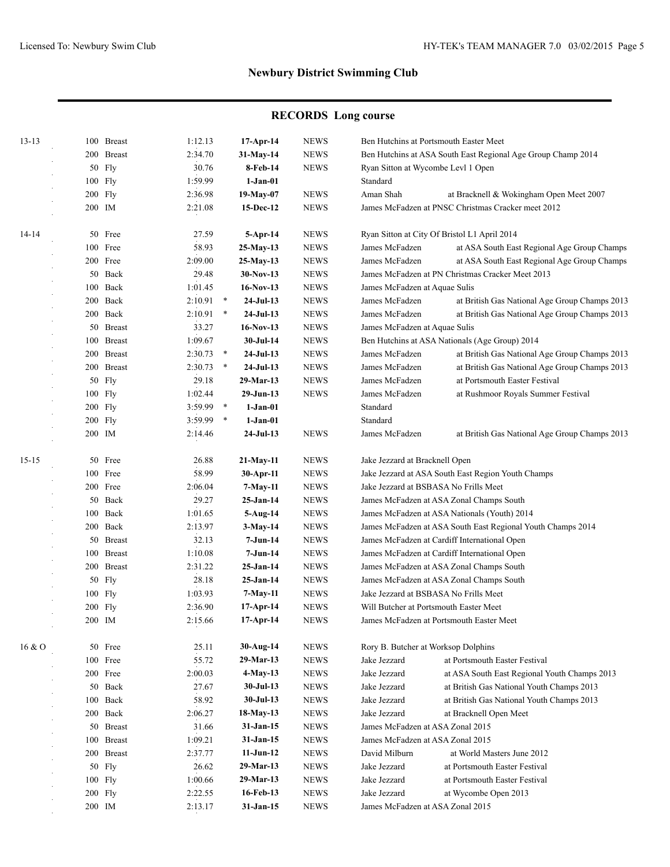# **RECORDS Long course**

| $13 - 13$ |        | 100 Breast | 1:12.13 |          | 17-Apr-14                 | <b>NEWS</b> | Ben Hutchins at Portsmouth Easter Meet                      |                                                              |
|-----------|--------|------------|---------|----------|---------------------------|-------------|-------------------------------------------------------------|--------------------------------------------------------------|
|           |        | 200 Breast | 2:34.70 |          | 31-May-14                 | <b>NEWS</b> |                                                             | Ben Hutchins at ASA South East Regional Age Group Champ 2014 |
|           |        | 50 Fly     | 30.76   |          | 8-Feb-14                  | <b>NEWS</b> | Ryan Sitton at Wycombe Levl 1 Open                          |                                                              |
|           |        | 100 Fly    | 1:59.99 |          | $1-Jan-01$                |             | Standard                                                    |                                                              |
|           |        | 200 Fly    | 2:36.98 |          | 19-May-07                 | <b>NEWS</b> | Aman Shah                                                   | at Bracknell & Wokingham Open Meet 2007                      |
|           | 200 IM |            | 2:21.08 |          | 15-Dec-12                 | <b>NEWS</b> |                                                             | James McFadzen at PNSC Christmas Cracker meet 2012           |
| 14-14     |        | 50 Free    | 27.59   |          | $5-$ Apr $-14$            | <b>NEWS</b> |                                                             | Ryan Sitton at City Of Bristol L1 April 2014                 |
|           |        | 100 Free   | 58.93   |          | 25-May-13                 | <b>NEWS</b> | James McFadzen                                              | at ASA South East Regional Age Group Champs                  |
|           |        | 200 Free   | 2:09.00 |          | 25-May-13                 | <b>NEWS</b> | James McFadzen                                              | at ASA South East Regional Age Group Champs                  |
|           |        | 50 Back    | 29.48   |          | $30-Nov-13$               | <b>NEWS</b> |                                                             | James McFadzen at PN Christmas Cracker Meet 2013             |
|           |        | 100 Back   | 1:01.45 |          | $16-Nov-13$               | <b>NEWS</b> | James McFadzen at Aquae Sulis                               |                                                              |
|           |        | 200 Back   | 2:10.91 | $\ast$   | $24-Jul-13$               | <b>NEWS</b> | James McFadzen                                              | at British Gas National Age Group Champs 2013                |
|           |        | 200 Back   | 2:10.91 | $\ast$   | $24-Jul-13$               | <b>NEWS</b> | James McFadzen                                              | at British Gas National Age Group Champs 2013                |
|           |        | 50 Breast  | 33.27   |          | $16-Nov-13$               | <b>NEWS</b> | James McFadzen at Aquae Sulis                               |                                                              |
|           |        | 100 Breast | 1:09.67 |          | 30-Jul-14                 | <b>NEWS</b> |                                                             | Ben Hutchins at ASA Nationals (Age Group) 2014               |
|           |        | 200 Breast | 2:30.73 | $\ast$   | $24-Jul-13$               | <b>NEWS</b> | James McFadzen                                              | at British Gas National Age Group Champs 2013                |
|           |        | 200 Breast | 2:30.73 | $\ast$   | $24-Jul-13$               | <b>NEWS</b> | James McFadzen                                              | at British Gas National Age Group Champs 2013                |
|           |        | 50 Fly     | 29.18   |          | 29-Mar-13                 | <b>NEWS</b> | James McFadzen                                              | at Portsmouth Easter Festival                                |
|           |        | 100 Fly    | 1:02.44 |          | $29-Jun-13$               | <b>NEWS</b> | James McFadzen                                              | at Rushmoor Royals Summer Festival                           |
|           |        | 200 Fly    | 3:59.99 | $\ast$   | $1-Jan-01$                |             | Standard                                                    |                                                              |
|           |        | 200 Fly    | 3:59.99 | $\ast$   | $1-Jan-01$                |             | Standard                                                    |                                                              |
|           | 200 IM |            | 2:14.46 |          | $24-Jul-13$               | <b>NEWS</b> | James McFadzen                                              | at British Gas National Age Group Champs 2013                |
| $15 - 15$ |        | 50 Free    | 26.88   |          | $21-May-11$               | <b>NEWS</b> | Jake Jezzard at Bracknell Open                              |                                                              |
|           |        | 100 Free   | 58.99   |          | $30-Apr-11$               | <b>NEWS</b> |                                                             | Jake Jezzard at ASA South East Region Youth Champs           |
|           |        | 200 Free   | 2:06.04 |          | $7-May-11$                | <b>NEWS</b> | Jake Jezzard at BSBASA No Frills Meet                       |                                                              |
|           |        | 50 Back    | 29.27   |          | $25-Jan-14$               | <b>NEWS</b> |                                                             | James McFadzen at ASA Zonal Champs South                     |
| 100 Back  |        | 1:01.65    |         | 5-Aug-14 | <b>NEWS</b>               |             | James McFadzen at ASA Nationals (Youth) 2014                |                                                              |
|           |        | 200 Back   | 2:13.97 |          | <b>NEWS</b><br>$3-May-14$ |             | James McFadzen at ASA South East Regional Youth Champs 2014 |                                                              |
|           |        | 50 Breast  | 32.13   |          | 7-Jun-14                  | <b>NEWS</b> |                                                             | James McFadzen at Cardiff International Open                 |
|           |        | 100 Breast | 1:10.08 |          | 7-Jun-14                  | <b>NEWS</b> | James McFadzen at Cardiff International Open                |                                                              |
|           |        | 200 Breast | 2:31.22 |          | 25-Jan-14                 | <b>NEWS</b> | James McFadzen at ASA Zonal Champs South                    |                                                              |
|           |        | 50 Fly     | 28.18   |          | 25-Jan-14                 | <b>NEWS</b> | James McFadzen at ASA Zonal Champs South                    |                                                              |
|           |        | 100 Fly    | 1:03.93 |          | 7-May-11                  | <b>NEWS</b> | Jake Jezzard at BSBASA No Frills Meet                       |                                                              |
|           |        | 200 Fly    | 2:36.90 |          | $17-Apr-14$               | <b>NEWS</b> | Will Butcher at Portsmouth Easter Meet                      |                                                              |
|           | 200 IM |            | 2:15.66 |          | 17-Apr-14                 | <b>NEWS</b> | James McFadzen at Portsmouth Easter Meet                    |                                                              |
| 16&0      |        | 50 Free    | 25.11   |          | 30-Aug-14                 | <b>NEWS</b> | Rory B. Butcher at Worksop Dolphins                         |                                                              |
|           |        | 100 Free   | 55.72   |          | 29-Mar-13                 | <b>NEWS</b> | Jake Jezzard                                                | at Portsmouth Easter Festival                                |
|           |        | 200 Free   | 2:00.03 |          | $4-May-13$                | <b>NEWS</b> | Jake Jezzard                                                | at ASA South East Regional Youth Champs 2013                 |
|           |        | 50 Back    | 27.67   |          | $30-Jul-13$               | <b>NEWS</b> | Jake Jezzard                                                | at British Gas National Youth Champs 2013                    |
|           |        | 100 Back   | 58.92   |          | 30-Jul-13                 | <b>NEWS</b> | Jake Jezzard                                                | at British Gas National Youth Champs 2013                    |
|           |        | 200 Back   | 2:06.27 |          | 18-May-13                 | <b>NEWS</b> | Jake Jezzard                                                | at Bracknell Open Meet                                       |
|           |        | 50 Breast  | 31.66   |          | 31-Jan-15                 | <b>NEWS</b> | James McFadzen at ASA Zonal 2015                            |                                                              |
|           |        | 100 Breast | 1:09.21 |          | 31-Jan-15                 | <b>NEWS</b> | James McFadzen at ASA Zonal 2015                            |                                                              |
|           |        | 200 Breast | 2:37.77 |          | $11-Jun-12$               | <b>NEWS</b> | David Milburn                                               | at World Masters June 2012                                   |
|           |        | 50 Fly     | 26.62   |          | 29-Mar-13                 | <b>NEWS</b> | Jake Jezzard                                                | at Portsmouth Easter Festival                                |
|           |        | 100 Fly    | 1:00.66 |          | 29-Mar-13                 | <b>NEWS</b> | Jake Jezzard                                                | at Portsmouth Easter Festival                                |
|           |        | $200$ Fly  | 2:22.55 |          | 16-Feb-13                 | <b>NEWS</b> | Jake Jezzard                                                | at Wycombe Open 2013                                         |
|           | 200 IM |            | 2:13.17 |          | 31-Jan-15                 | <b>NEWS</b> | James McFadzen at ASA Zonal 2015                            |                                                              |
|           |        |            |         |          |                           |             |                                                             |                                                              |